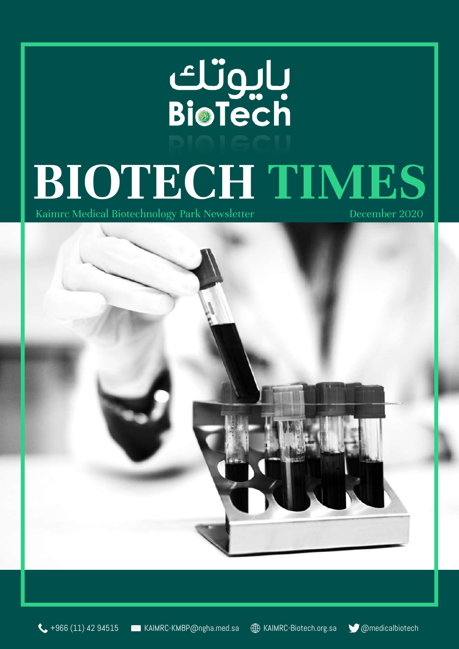# Ulueri<br>BioTech **BIOTECH TIMES**<br>Kaimrc Medical Biotechnology Park Newsletter December 2020 Kaimrc Medical Biotechnology Park Newsletter



 $\leftarrow$  +966 (11) 42 94515 MKAIMRC-KMBP@ngha.med.sa  $\oplus$  KAIMRC-Biotech.org.sa  $\bullet$  @medicalbiotech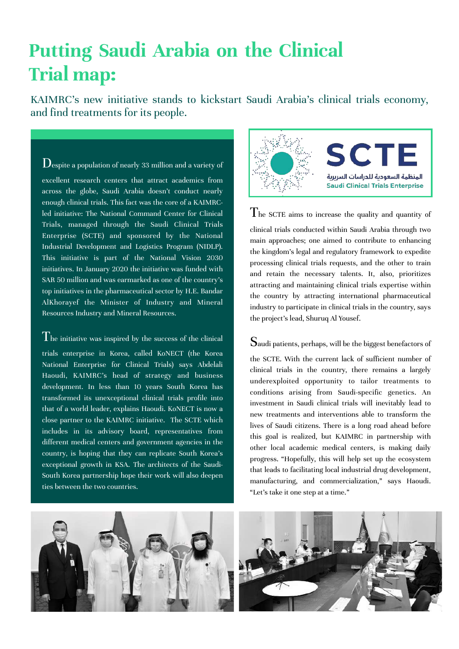# **Putting Saudi Arabia on the Clinical Trial map:**

KAIMRC's new initiative stands to kickstart Saudi Arabia's clinical trials economy, and find treatments for its people.

 $\rm D$ espite a population of nearly 33 million and a variety of excellent research centers that attract academics from across the globe, Saudi Arabia doesn't conduct nearly enough clinical trials. This fact was the core of a KAIMRCled initiative: The National Command Center for Clinical Trials, managed through the Saudi Clinical Trials Enterprise (SCTE) and sponsored by the National Industrial Development and Logistics Program (NIDLP). This initiative is part of the National Vision 2030 initiatives. In January 2020 the initiative was funded with SAR 50 million and was earmarked as one of the country's top initiatives in the pharmaceutical sector by H.E. Bandar AlKhorayef the Minister of Industry and Mineral Resources Industry and Mineral Resources.

#### $T$ he initiative was inspired by the success of the clinical

trials enterprise in Korea, called KoNECT (the Korea National Enterprise for Clinical Trials) says Abdelali Haoudi, KAIMRC's head of strategy and business development. In less than 10 years South Korea has transformed its unexceptional clinical trials profile into that of a world leader, explains Haoudi. KoNECT is now a close partner to the KAIMRC initiative. The SCTE which includes in its advisory board, representatives from different medical centers and government agencies in the country, is hoping that they can replicate South Korea's exceptional growth in KSA. The architects of the Saudi-South Korea partnership hope their work will also deepen ties between the two countries.



The SCTE aims to increase the quality and quantity of clinical trials conducted within Saudi Arabia through two main approaches; one aimed to contribute to enhancing the kingdom's legal and regulatory framework to expedite processing clinical trials requests, and the other to train and retain the necessary talents. It, also, prioritizes attracting and maintaining clinical trials expertise within the country by attracting international pharmaceutical industry to participate in clinical trials in the country, says the project's lead, Shuruq Al Yousef.

#### Saudi patients, perhaps, will be the biggest benefactors of

the SCTE. With the current lack of sufficient number of clinical trials in the country, there remains a largely underexploited opportunity to tailor treatments to conditions arising from Saudi-specific genetics. An investment in Saudi clinical trials will inevitably lead to new treatments and interventions able to transform the lives of Saudi citizens. There is a long road ahead before this goal is realized, but KAIMRC in partnership with other local academic medical centers, is making daily progress. "Hopefully, this will help set up the ecosystem that leads to facilitating local industrial drug development, manufacturing, and commercialization," says Haoudi. "Let's take it one step at a time."

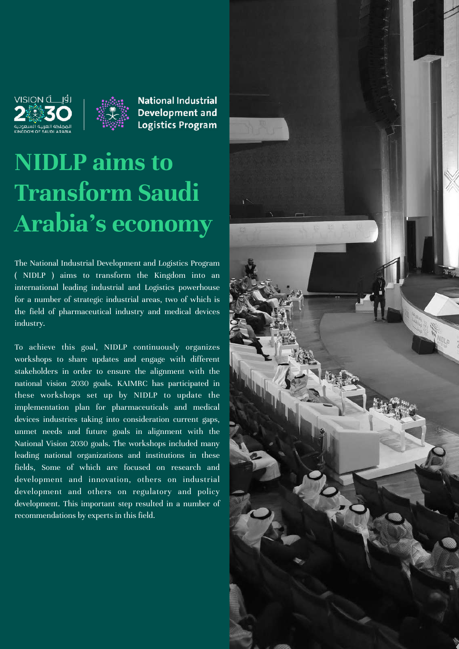



**National Industrial Development and Logistics Program** 

# **NIDLP aims to Transform Saudi Arabia's economy**

The National Industrial Development and Logistics Program ( NIDLP ) aims to transform the Kingdom into an international leading industrial and Logistics powerhouse for a number of strategic industrial areas, two of which is the field of pharmaceutical industry and medical devices industry.

To achieve this goal, NIDLP continuously organizes workshops to share updates and engage with different stakeholders in order to ensure the alignment with the national vision 2030 goals. KAIMRC has participated in these workshops set up by NIDLP to update the implementation plan for pharmaceuticals and medical devices industries taking into consideration current gaps, unmet needs and future goals in alignment with the National Vision 2030 goals. The workshops included many leading national organizations and institutions in these fields, Some of which are focused on research and development and innovation, others on industrial development and others on regulatory and policy development. This important step resulted in a number of recommendations by experts in this field.

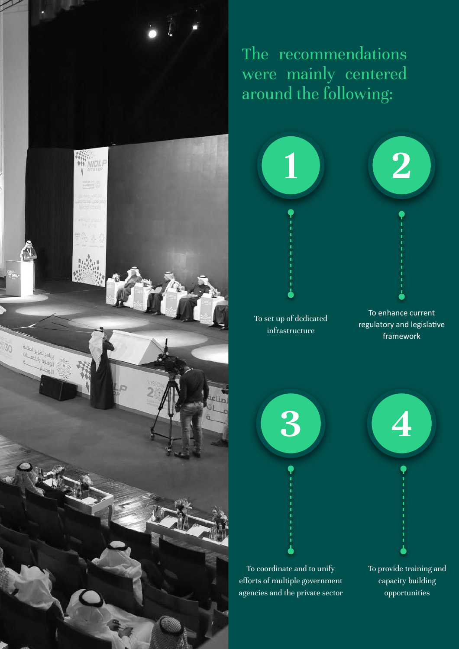

The recommendations were mainly centered around the following:



To set up of dedicated infrastructure

To enhance current regulatory and legislative framework

![](_page_3_Figure_5.jpeg)

To coordinate and to unify efforts of multiple government agencies and the private sector To provide training and capacity building opportunities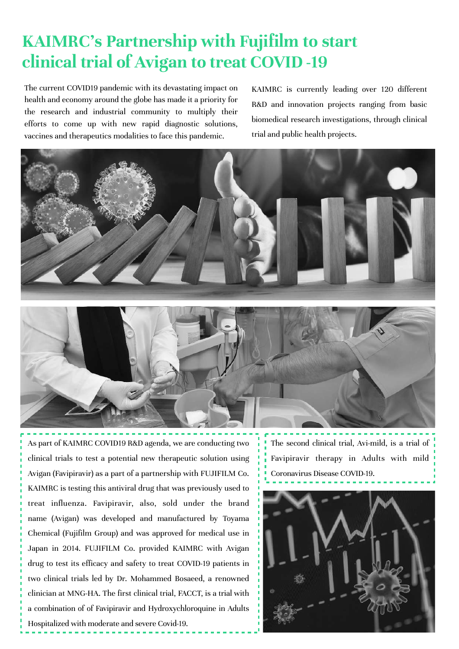## **KAIMRC's Partnership with Fujifilm to start clinical trial of Avigan to treat COVID -19**

The current COVID19 pandemic with its devastating impact on health and economy around the globe has made it a priority for the research and industrial community to multiply their efforts to come up with new rapid diagnostic solutions, vaccines and therapeutics modalities to face this pandemic.

KAIMRC is currently leading over 120 different R&D and innovation projects ranging from basic biomedical research investigations, through clinical trial and public health projects.

![](_page_4_Picture_3.jpeg)

As part of KAIMRC COVID19 R&D agenda, we are conducting two clinical trials to test a potential new therapeutic solution using Avigan (Favipiravir) as a part of a partnership with FUJIFILM Co. KAIMRC is testing this antiviral drug that was previously used to treat [influenza.](https://en.wikipedia.org/wiki/Influenza) Favipiravir, also, sold under the brand name (Avigan) was developed and manufactured by [Toyama](https://en.wikipedia.org/wiki/Toyama_Chemical)  [Chemical](https://en.wikipedia.org/wiki/Toyama_Chemical) [\(Fujifilm](https://en.wikipedia.org/wiki/Fujifilm) Group) and was approved for medical use in Japan in 2014. FUJIFILM Co. provided KAIMRC with Avigan drug to test its efficacy and safety to treat COVID-19 patients in two clinical trials led by Dr. Mohammed Bosaeed, a renowned clinician at MNG-HA. The first clinical trial, FACCT, is a trial with a combination of of Favipiravir and Hydroxychloroquine in Adults Hospitalized with moderate and severe Covid-19.

The second clinical trial, Avi-mild, is a trial of Favipiravir therapy in Adults with mild Coronavirus Disease COVID-19.

![](_page_4_Picture_6.jpeg)